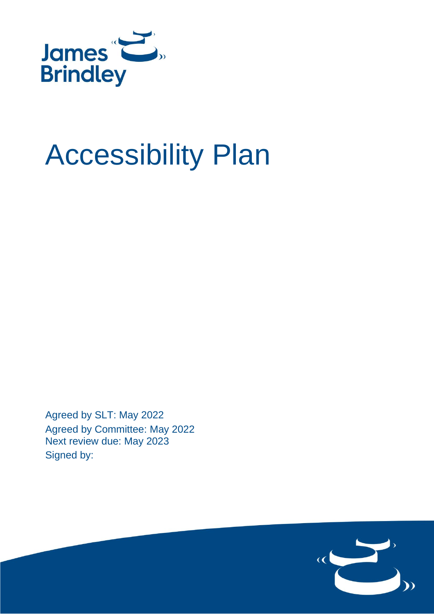

# Accessibility Plan

Agreed by SLT: May 2022 Agreed by Committee: May 2022 Next review due: May 2023 Signed by:

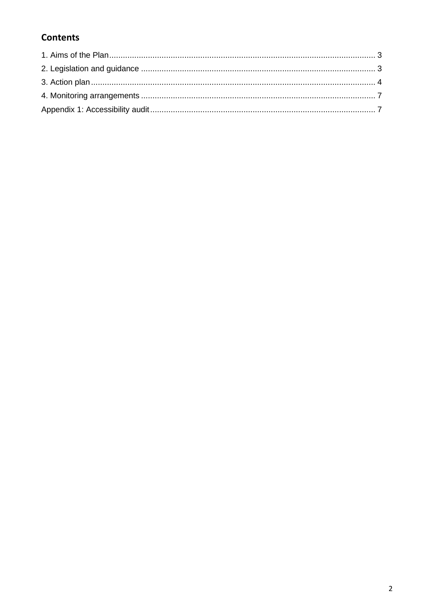# **Contents**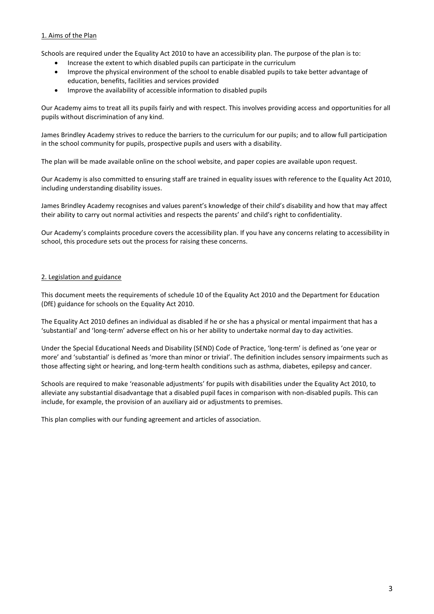#### 1. Aims of the Plan

Schools are required under the Equality Act 2010 to have an accessibility plan. The purpose of the plan is to:

- Increase the extent to which disabled pupils can participate in the curriculum
- Improve the physical environment of the school to enable disabled pupils to take better advantage of education, benefits, facilities and services provided
- Improve the availability of accessible information to disabled pupils

Our Academy aims to treat all its pupils fairly and with respect. This involves providing access and opportunities for all pupils without discrimination of any kind.

James Brindley Academy strives to reduce the barriers to the curriculum for our pupils; and to allow full participation in the school community for pupils, prospective pupils and users with a disability.

The plan will be made available online on the school website, and paper copies are available upon request.

Our Academy is also committed to ensuring staff are trained in equality issues with reference to the Equality Act 2010, including understanding disability issues.

James Brindley Academy recognises and values parent's knowledge of their child's disability and how that may affect their ability to carry out normal activities and respects the parents' and child's right to confidentiality.

Our Academy's complaints procedure covers the accessibility plan. If you have any concerns relating to accessibility in school, this procedure sets out the process for raising these concerns.

#### 2. Legislation and guidance

This document meets the requirements of [schedule 10 of the Equality Act 2010](http://www.legislation.gov.uk/ukpga/2010/15/schedule/10) and the Department for Education (DfE) [guidance for schools on the Equality Act 2010.](https://www.gov.uk/government/publications/equality-act-2010-advice-for-schools)

The Equality Act 2010 defines an individual as disabled if he or she has a physical or mental impairment that has a 'substantial' and 'long-term' adverse effect on his or her ability to undertake normal day to day activities.

Under the [Special Educational Needs and Disability \(SEND\) Code of Practice](https://www.gov.uk/government/publications/send-code-of-practice-0-to-25), 'long-term' is defined as 'one year or more' and 'substantial' is defined as 'more than minor or trivial'. The definition includes sensory impairments such as those affecting sight or hearing, and long-term health conditions such as asthma, diabetes, epilepsy and cancer.

Schools are required to make 'reasonable adjustments' for pupils with disabilities under the Equality Act 2010, to alleviate any substantial disadvantage that a disabled pupil faces in comparison with non-disabled pupils. This can include, for example, the provision of an auxiliary aid or adjustments to premises.

This plan complies with our funding agreement and articles of association.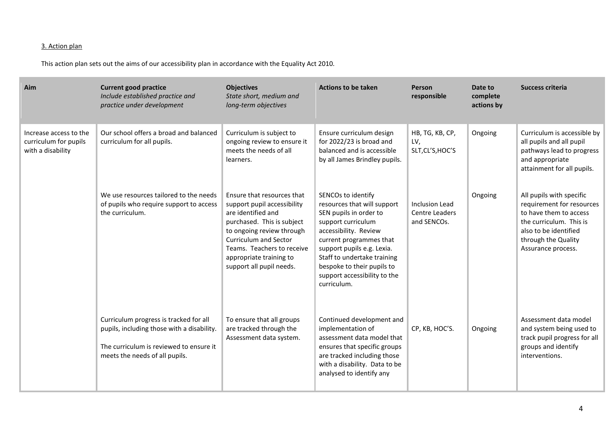## 3. Action plan

This action plan sets out the aims of our accessibility plan in accordance with the Equality Act 2010.

| Aim                                                                  | <b>Current good practice</b><br>Include established practice and<br>practice under development                                                                    | <b>Objectives</b><br>State short, medium and<br>long-term objectives                                                                                                                                                                                     | <b>Actions to be taken</b>                                                                                                                                                                                                                                                                      | Person<br>responsible                           | Date to<br>complete<br>actions by | <b>Success criteria</b>                                                                                                                                                          |
|----------------------------------------------------------------------|-------------------------------------------------------------------------------------------------------------------------------------------------------------------|----------------------------------------------------------------------------------------------------------------------------------------------------------------------------------------------------------------------------------------------------------|-------------------------------------------------------------------------------------------------------------------------------------------------------------------------------------------------------------------------------------------------------------------------------------------------|-------------------------------------------------|-----------------------------------|----------------------------------------------------------------------------------------------------------------------------------------------------------------------------------|
| Increase access to the<br>curriculum for pupils<br>with a disability | Our school offers a broad and balanced<br>curriculum for all pupils.                                                                                              | Curriculum is subject to<br>ongoing review to ensure it<br>meets the needs of all<br>learners.                                                                                                                                                           | Ensure curriculum design<br>for 2022/23 is broad and<br>balanced and is accessible<br>by all James Brindley pupils.                                                                                                                                                                             | HB, TG, KB, CP,<br>LV,<br>SLT, CL'S, HOC'S      | Ongoing                           | Curriculum is accessible by<br>all pupils and all pupil<br>pathways lead to progress<br>and appropriate<br>attainment for all pupils.                                            |
|                                                                      | We use resources tailored to the needs<br>of pupils who require support to access<br>the curriculum.                                                              | Ensure that resources that<br>support pupil accessibility<br>are identified and<br>purchased. This is subject<br>to ongoing review through<br>Curriculum and Sector<br>Teams. Teachers to receive<br>appropriate training to<br>support all pupil needs. | SENCOs to identify<br>resources that will support<br>SEN pupils in order to<br>support curriculum<br>accessibility. Review<br>current programmes that<br>support pupils e.g. Lexia.<br>Staff to undertake training<br>bespoke to their pupils to<br>support accessibility to the<br>curriculum. | Inclusion Lead<br>Centre Leaders<br>and SENCOs. | Ongoing                           | All pupils with specific<br>requirement for resources<br>to have them to access<br>the curriculum. This is<br>also to be identified<br>through the Quality<br>Assurance process. |
|                                                                      | Curriculum progress is tracked for all<br>pupils, including those with a disability.<br>The curriculum is reviewed to ensure it<br>meets the needs of all pupils. | To ensure that all groups<br>are tracked through the<br>Assessment data system.                                                                                                                                                                          | Continued development and<br>implementation of<br>assessment data model that<br>ensures that specific groups<br>are tracked including those<br>with a disability. Data to be<br>analysed to identify any                                                                                        | CP, KB, HOC'S.                                  | Ongoing                           | Assessment data model<br>and system being used to<br>track pupil progress for all<br>groups and identify<br>interventions.                                                       |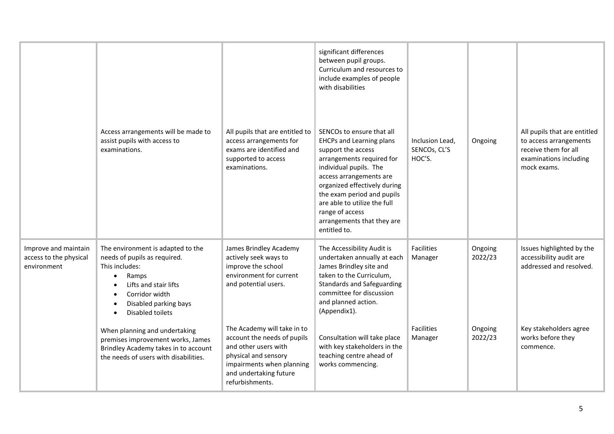|                                                               | Access arrangements will be made to<br>assist pupils with access to<br>examinations.                                                                                                              | All pupils that are entitled to<br>access arrangements for<br>exams are identified and<br>supported to access<br>examinations.                                                       | significant differences<br>between pupil groups.<br>Curriculum and resources to<br>include examples of people<br>with disabilities<br>SENCOs to ensure that all<br><b>EHCPs and Learning plans</b><br>support the access<br>arrangements required for<br>individual pupils. The<br>access arrangements are<br>organized effectively during<br>the exam period and pupils<br>are able to utilize the full<br>range of access<br>arrangements that they are<br>entitled to. | Inclusion Lead,<br>SENCOS, CL'S<br>HOC'S. | Ongoing            | All pupils that are entitled<br>to access arrangements<br>receive them for all<br>examinations including<br>mock exams. |
|---------------------------------------------------------------|---------------------------------------------------------------------------------------------------------------------------------------------------------------------------------------------------|--------------------------------------------------------------------------------------------------------------------------------------------------------------------------------------|---------------------------------------------------------------------------------------------------------------------------------------------------------------------------------------------------------------------------------------------------------------------------------------------------------------------------------------------------------------------------------------------------------------------------------------------------------------------------|-------------------------------------------|--------------------|-------------------------------------------------------------------------------------------------------------------------|
| Improve and maintain<br>access to the physical<br>environment | The environment is adapted to the<br>needs of pupils as required.<br>This includes:<br>Ramps<br>$\bullet$<br>Lifts and stair lifts<br>Corridor width<br>Disabled parking bays<br>Disabled toilets | James Brindley Academy<br>actively seek ways to<br>improve the school<br>environment for current<br>and potential users.                                                             | The Accessibility Audit is<br>undertaken annually at each<br>James Brindley site and<br>taken to the Curriculum,<br><b>Standards and Safeguarding</b><br>committee for discussion<br>and planned action.<br>(Appendix1).                                                                                                                                                                                                                                                  | <b>Facilities</b><br>Manager              | Ongoing<br>2022/23 | Issues highlighted by the<br>accessibility audit are<br>addressed and resolved.                                         |
|                                                               | When planning and undertaking<br>premises improvement works, James<br>Brindley Academy takes in to account<br>the needs of users with disabilities.                                               | The Academy will take in to<br>account the needs of pupils<br>and other users with<br>physical and sensory<br>impairments when planning<br>and undertaking future<br>refurbishments. | Consultation will take place<br>with key stakeholders in the<br>teaching centre ahead of<br>works commencing.                                                                                                                                                                                                                                                                                                                                                             | <b>Facilities</b><br>Manager              | Ongoing<br>2022/23 | Key stakeholders agree<br>works before they<br>commence.                                                                |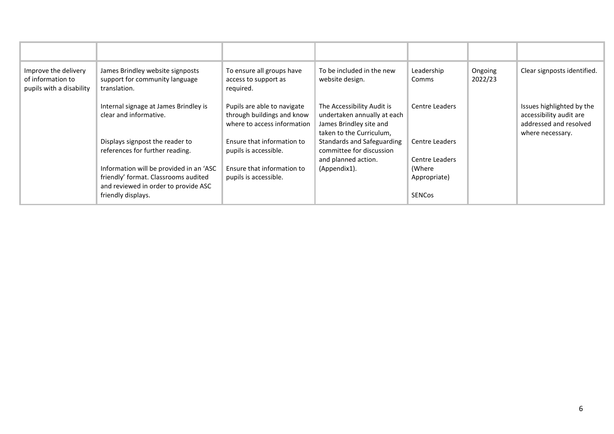| Improve the delivery<br>of information to<br>pupils with a disability | James Brindley website signposts<br>support for community language<br>translation.                                                            | To ensure all groups have<br>access to support as<br>required.                           | To be included in the new<br>website design.                                                                     | Leadership<br>Comms                     | Ongoing<br>2022/23 | Clear signposts identified.                                                                        |
|-----------------------------------------------------------------------|-----------------------------------------------------------------------------------------------------------------------------------------------|------------------------------------------------------------------------------------------|------------------------------------------------------------------------------------------------------------------|-----------------------------------------|--------------------|----------------------------------------------------------------------------------------------------|
|                                                                       | Internal signage at James Brindley is<br>clear and informative.                                                                               | Pupils are able to navigate<br>through buildings and know<br>where to access information | The Accessibility Audit is<br>undertaken annually at each<br>James Brindley site and<br>taken to the Curriculum, | Centre Leaders                          |                    | Issues highlighted by the<br>accessibility audit are<br>addressed and resolved<br>where necessary. |
|                                                                       | Displays signpost the reader to<br>references for further reading.                                                                            | Ensure that information to<br>pupils is accessible.                                      | <b>Standards and Safeguarding</b><br>committee for discussion<br>and planned action.                             | Centre Leaders<br>Centre Leaders        |                    |                                                                                                    |
|                                                                       | Information will be provided in an 'ASC<br>friendly' format. Classrooms audited<br>and reviewed in order to provide ASC<br>friendly displays. | Ensure that information to<br>pupils is accessible.                                      | (Appendix1).                                                                                                     | (Where<br>Appropriate)<br><b>SENCos</b> |                    |                                                                                                    |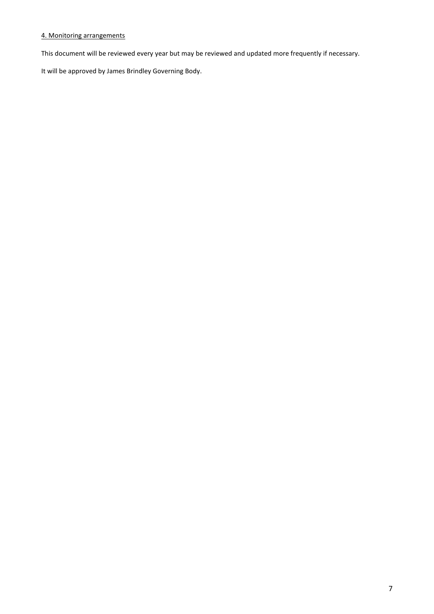#### 4. Monitoring arrangements

This document will be reviewed every year but may be reviewed and updated more frequently if necessary.

It will be approved by James Brindley Governing Body.